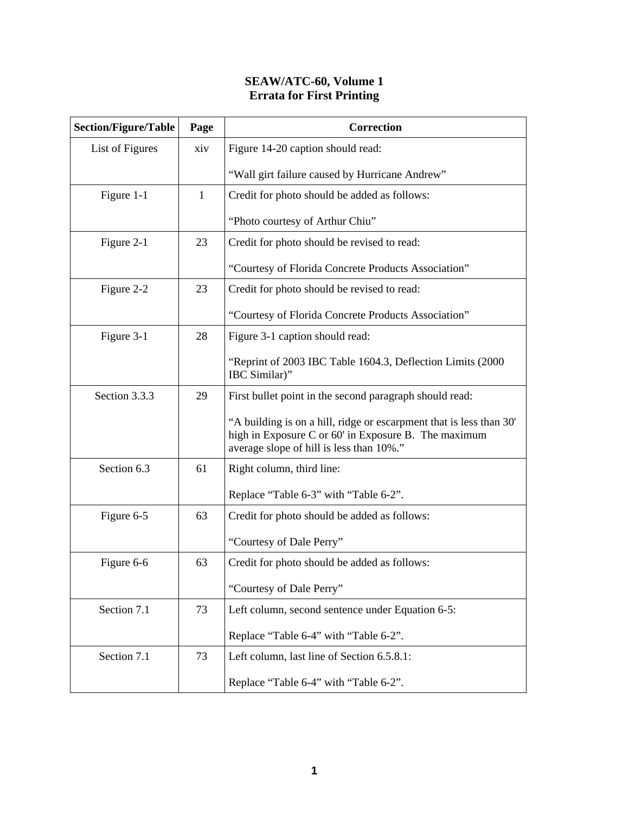## **SEAW/ATC-60, Volume 1 Errata for First Printing**

| <b>Section/Figure/Table</b> | Page         | <b>Correction</b>                                                                                                                                                       |
|-----------------------------|--------------|-------------------------------------------------------------------------------------------------------------------------------------------------------------------------|
| List of Figures             | xiv          | Figure 14-20 caption should read:                                                                                                                                       |
|                             |              | "Wall girt failure caused by Hurricane Andrew"                                                                                                                          |
| Figure 1-1                  | $\mathbf{1}$ | Credit for photo should be added as follows:                                                                                                                            |
|                             |              | "Photo courtesy of Arthur Chiu"                                                                                                                                         |
| Figure 2-1                  | 23           | Credit for photo should be revised to read:                                                                                                                             |
|                             |              | "Courtesy of Florida Concrete Products Association"                                                                                                                     |
| Figure 2-2                  | 23           | Credit for photo should be revised to read:                                                                                                                             |
|                             |              | "Courtesy of Florida Concrete Products Association"                                                                                                                     |
| Figure 3-1                  | 28           | Figure 3-1 caption should read:                                                                                                                                         |
|                             |              | "Reprint of 2003 IBC Table 1604.3, Deflection Limits (2000)<br>IBC Similar)"                                                                                            |
| Section 3.3.3               | 29           | First bullet point in the second paragraph should read:                                                                                                                 |
|                             |              | "A building is on a hill, ridge or escarpment that is less than 30"<br>high in Exposure C or 60' in Exposure B. The maximum<br>average slope of hill is less than 10%." |
| Section 6.3                 | 61           | Right column, third line:                                                                                                                                               |
|                             |              | Replace "Table 6-3" with "Table 6-2".                                                                                                                                   |
| Figure 6-5                  | 63           | Credit for photo should be added as follows:                                                                                                                            |
|                             |              | "Courtesy of Dale Perry"                                                                                                                                                |
| Figure 6-6                  | 63           | Credit for photo should be added as follows:                                                                                                                            |
|                             |              | "Courtesy of Dale Perry"                                                                                                                                                |
| Section 7.1                 | 73           | Left column, second sentence under Equation 6-5:                                                                                                                        |
|                             |              | Replace "Table 6-4" with "Table 6-2".                                                                                                                                   |
| Section 7.1                 | 73           | Left column, last line of Section 6.5.8.1:                                                                                                                              |
|                             |              | Replace "Table 6-4" with "Table 6-2".                                                                                                                                   |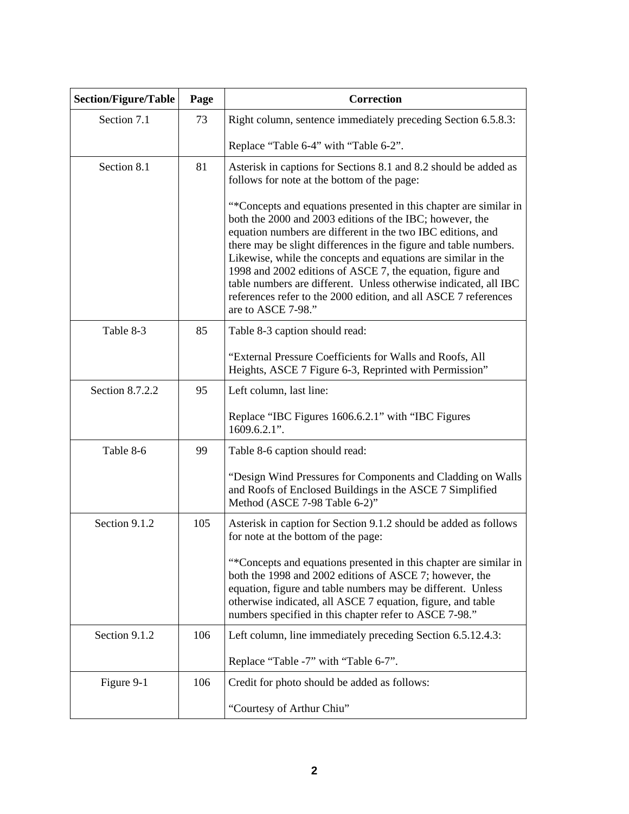| <b>Section/Figure/Table</b> | Page | <b>Correction</b>                                                                                                                                                                                                                                                                                                                                                                                                                                                                                                                                            |
|-----------------------------|------|--------------------------------------------------------------------------------------------------------------------------------------------------------------------------------------------------------------------------------------------------------------------------------------------------------------------------------------------------------------------------------------------------------------------------------------------------------------------------------------------------------------------------------------------------------------|
| Section 7.1                 | 73   | Right column, sentence immediately preceding Section 6.5.8.3:                                                                                                                                                                                                                                                                                                                                                                                                                                                                                                |
|                             |      | Replace "Table 6-4" with "Table 6-2".                                                                                                                                                                                                                                                                                                                                                                                                                                                                                                                        |
| Section 8.1                 | 81   | Asterisk in captions for Sections 8.1 and 8.2 should be added as<br>follows for note at the bottom of the page:                                                                                                                                                                                                                                                                                                                                                                                                                                              |
|                             |      | "*Concepts and equations presented in this chapter are similar in<br>both the 2000 and 2003 editions of the IBC; however, the<br>equation numbers are different in the two IBC editions, and<br>there may be slight differences in the figure and table numbers.<br>Likewise, while the concepts and equations are similar in the<br>1998 and 2002 editions of ASCE 7, the equation, figure and<br>table numbers are different. Unless otherwise indicated, all IBC<br>references refer to the 2000 edition, and all ASCE 7 references<br>are to ASCE 7-98." |
| Table 8-3                   | 85   | Table 8-3 caption should read:                                                                                                                                                                                                                                                                                                                                                                                                                                                                                                                               |
|                             |      | "External Pressure Coefficients for Walls and Roofs, All<br>Heights, ASCE 7 Figure 6-3, Reprinted with Permission"                                                                                                                                                                                                                                                                                                                                                                                                                                           |
| Section 8.7.2.2             | 95   | Left column, last line:                                                                                                                                                                                                                                                                                                                                                                                                                                                                                                                                      |
|                             |      | Replace "IBC Figures 1606.6.2.1" with "IBC Figures<br>$1609.6.2.1$ ".                                                                                                                                                                                                                                                                                                                                                                                                                                                                                        |
| Table 8-6                   | 99   | Table 8-6 caption should read:                                                                                                                                                                                                                                                                                                                                                                                                                                                                                                                               |
|                             |      | "Design Wind Pressures for Components and Cladding on Walls<br>and Roofs of Enclosed Buildings in the ASCE 7 Simplified<br>Method (ASCE 7-98 Table 6-2)"                                                                                                                                                                                                                                                                                                                                                                                                     |
| Section 9.1.2               | 105  | Asterisk in caption for Section 9.1.2 should be added as follows<br>for note at the bottom of the page:                                                                                                                                                                                                                                                                                                                                                                                                                                                      |
|                             |      | "*Concepts and equations presented in this chapter are similar in<br>both the 1998 and 2002 editions of ASCE 7; however, the<br>equation, figure and table numbers may be different. Unless<br>otherwise indicated, all ASCE 7 equation, figure, and table<br>numbers specified in this chapter refer to ASCE 7-98."                                                                                                                                                                                                                                         |
| Section 9.1.2               | 106  | Left column, line immediately preceding Section 6.5.12.4.3:                                                                                                                                                                                                                                                                                                                                                                                                                                                                                                  |
|                             |      | Replace "Table -7" with "Table 6-7".                                                                                                                                                                                                                                                                                                                                                                                                                                                                                                                         |
| Figure 9-1                  | 106  | Credit for photo should be added as follows:                                                                                                                                                                                                                                                                                                                                                                                                                                                                                                                 |
|                             |      | "Courtesy of Arthur Chiu"                                                                                                                                                                                                                                                                                                                                                                                                                                                                                                                                    |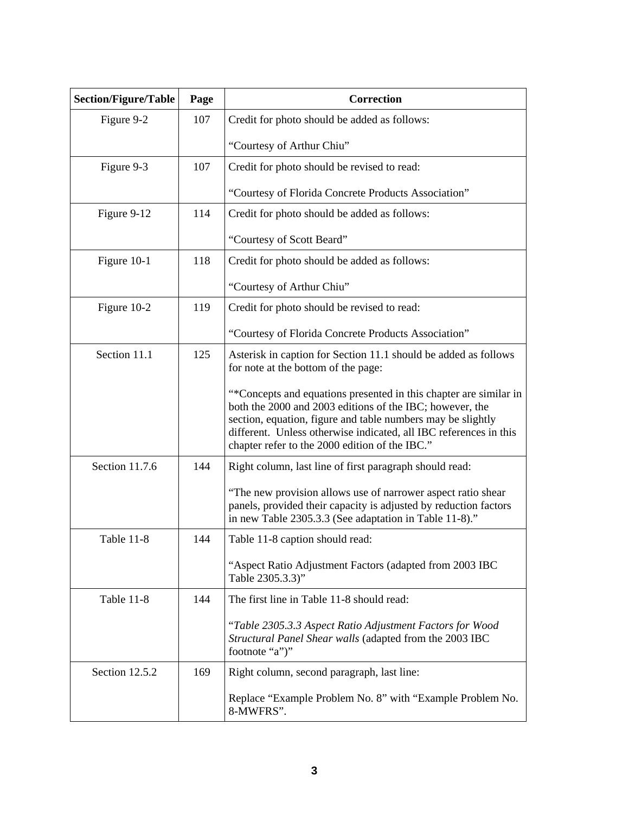| <b>Section/Figure/Table</b> | Page | <b>Correction</b>                                                                                                                                                                                                                                                                                                   |
|-----------------------------|------|---------------------------------------------------------------------------------------------------------------------------------------------------------------------------------------------------------------------------------------------------------------------------------------------------------------------|
| Figure 9-2                  | 107  | Credit for photo should be added as follows:                                                                                                                                                                                                                                                                        |
|                             |      | "Courtesy of Arthur Chiu"                                                                                                                                                                                                                                                                                           |
| Figure 9-3                  | 107  | Credit for photo should be revised to read:                                                                                                                                                                                                                                                                         |
|                             |      | "Courtesy of Florida Concrete Products Association"                                                                                                                                                                                                                                                                 |
| Figure 9-12                 | 114  | Credit for photo should be added as follows:                                                                                                                                                                                                                                                                        |
|                             |      | "Courtesy of Scott Beard"                                                                                                                                                                                                                                                                                           |
| Figure 10-1                 | 118  | Credit for photo should be added as follows:                                                                                                                                                                                                                                                                        |
|                             |      | "Courtesy of Arthur Chiu"                                                                                                                                                                                                                                                                                           |
| Figure 10-2                 | 119  | Credit for photo should be revised to read:                                                                                                                                                                                                                                                                         |
|                             |      | "Courtesy of Florida Concrete Products Association"                                                                                                                                                                                                                                                                 |
| Section 11.1                | 125  | Asterisk in caption for Section 11.1 should be added as follows<br>for note at the bottom of the page:                                                                                                                                                                                                              |
|                             |      | "*Concepts and equations presented in this chapter are similar in<br>both the 2000 and 2003 editions of the IBC; however, the<br>section, equation, figure and table numbers may be slightly<br>different. Unless otherwise indicated, all IBC references in this<br>chapter refer to the 2000 edition of the IBC." |
| Section 11.7.6              | 144  | Right column, last line of first paragraph should read:                                                                                                                                                                                                                                                             |
|                             |      | "The new provision allows use of narrower aspect ratio shear<br>panels, provided their capacity is adjusted by reduction factors<br>in new Table 2305.3.3 (See adaptation in Table 11-8)."                                                                                                                          |
| Table 11-8                  | 144  | Table 11-8 caption should read:                                                                                                                                                                                                                                                                                     |
|                             |      | "Aspect Ratio Adjustment Factors (adapted from 2003 IBC<br>Table 2305.3.3)"                                                                                                                                                                                                                                         |
| Table 11-8                  | 144  | The first line in Table 11-8 should read:                                                                                                                                                                                                                                                                           |
|                             |      | "Table 2305.3.3 Aspect Ratio Adjustment Factors for Wood<br>Structural Panel Shear walls (adapted from the 2003 IBC<br>footnote "a")"                                                                                                                                                                               |
| Section 12.5.2              | 169  | Right column, second paragraph, last line:                                                                                                                                                                                                                                                                          |
|                             |      | Replace "Example Problem No. 8" with "Example Problem No.<br>8-MWFRS".                                                                                                                                                                                                                                              |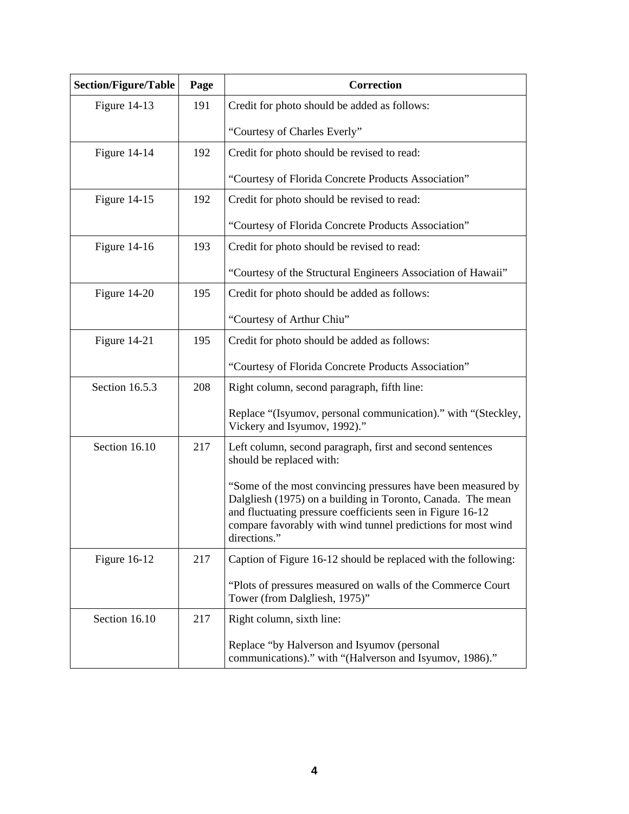| <b>Section/Figure/Table</b> | Page | <b>Correction</b>                                                                                                                                                                                                                                                         |
|-----------------------------|------|---------------------------------------------------------------------------------------------------------------------------------------------------------------------------------------------------------------------------------------------------------------------------|
| Figure 14-13                | 191  | Credit for photo should be added as follows:                                                                                                                                                                                                                              |
|                             |      | "Courtesy of Charles Everly"                                                                                                                                                                                                                                              |
| Figure $14-14$              | 192  | Credit for photo should be revised to read:                                                                                                                                                                                                                               |
|                             |      | "Courtesy of Florida Concrete Products Association"                                                                                                                                                                                                                       |
| Figure $14-15$              | 192  | Credit for photo should be revised to read:                                                                                                                                                                                                                               |
|                             |      | "Courtesy of Florida Concrete Products Association"                                                                                                                                                                                                                       |
| Figure $14-16$              | 193  | Credit for photo should be revised to read:                                                                                                                                                                                                                               |
|                             |      | "Courtesy of the Structural Engineers Association of Hawaii"                                                                                                                                                                                                              |
| Figure 14-20                | 195  | Credit for photo should be added as follows:                                                                                                                                                                                                                              |
|                             |      | "Courtesy of Arthur Chiu"                                                                                                                                                                                                                                                 |
| Figure 14-21                | 195  | Credit for photo should be added as follows:                                                                                                                                                                                                                              |
|                             |      | "Courtesy of Florida Concrete Products Association"                                                                                                                                                                                                                       |
| Section 16.5.3              | 208  | Right column, second paragraph, fifth line:                                                                                                                                                                                                                               |
|                             |      | Replace "(Isyumov, personal communication)." with "(Steckley,<br>Vickery and Isyumov, 1992)."                                                                                                                                                                             |
| Section 16.10               | 217  | Left column, second paragraph, first and second sentences<br>should be replaced with:                                                                                                                                                                                     |
|                             |      | "Some of the most convincing pressures have been measured by<br>Dalgliesh (1975) on a building in Toronto, Canada. The mean<br>and fluctuating pressure coefficients seen in Figure 16-12<br>compare favorably with wind tunnel predictions for most wind<br>directions." |
| Figure 16-12                | 217  | Caption of Figure 16-12 should be replaced with the following:                                                                                                                                                                                                            |
|                             |      | "Plots of pressures measured on walls of the Commerce Court<br>Tower (from Dalgliesh, 1975)"                                                                                                                                                                              |
| Section 16.10               | 217  | Right column, sixth line:                                                                                                                                                                                                                                                 |
|                             |      | Replace "by Halverson and Isyumov (personal<br>communications)." with "(Halverson and Isyumov, 1986)."                                                                                                                                                                    |